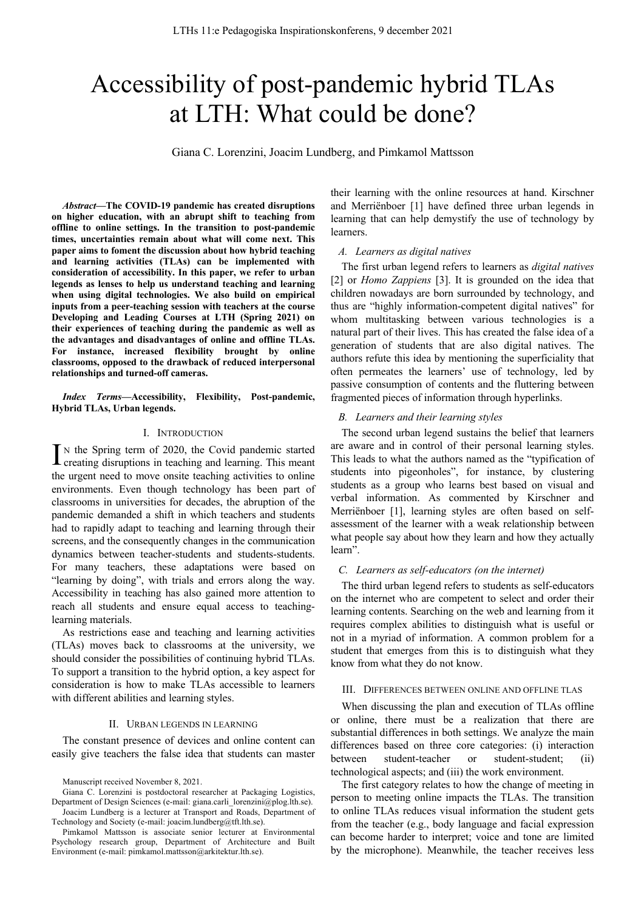# Accessibility of post-pandemic hybrid TLAs at LTH: What could be done?

Giana C. Lorenzini, Joacim Lundberg, and Pimkamol Mattsson

*Abstract***—The COVID-19 pandemic has created disruptions on higher education, with an abrupt shift to teaching from offline to online settings. In the transition to post-pandemic times, uncertainties remain about what will come next. This paper aims to foment the discussion about how hybrid teaching and learning activities (TLAs) can be implemented with consideration of accessibility. In this paper, we refer to urban legends as lenses to help us understand teaching and learning when using digital technologies. We also build on empirical inputs from a peer-teaching session with teachers at the course Developing and Leading Courses at LTH (Spring 2021) on their experiences of teaching during the pandemic as well as the advantages and disadvantages of online and offline TLAs. For instance, increased flexibility brought by online classrooms, opposed to the drawback of reduced interpersonal relationships and turned-off cameras.**

*Index Terms***—Accessibility, Flexibility, Post-pandemic, Hybrid TLAs, Urban legends.**

#### I. INTRODUCTION

N the Spring term of 2020, the Covid pandemic started  $\prod$ <sup>N</sup> the Spring term of 2020, the Covid pandemic started creating disruptions in teaching and learning. This meant the urgent need to move onsite teaching activities to online environments. Even though technology has been part of classrooms in universities for decades, the abruption of the pandemic demanded a shift in which teachers and students had to rapidly adapt to teaching and learning through their screens, and the consequently changes in the communication dynamics between teacher-students and students-students. For many teachers, these adaptations were based on "learning by doing", with trials and errors along the way. Accessibility in teaching has also gained more attention to reach all students and ensure equal access to teachinglearning materials.

As restrictions ease and teaching and learning activities (TLAs) moves back to classrooms at the university, we should consider the possibilities of continuing hybrid TLAs. To support a transition to the hybrid option, a key aspect for consideration is how to make TLAs accessible to learners with different abilities and learning styles.

#### II. URBAN LEGENDS IN LEARNING

The constant presence of devices and online content can easily give teachers the false idea that students can master their learning with the online resources at hand. Kirschner and Merriënboer [1] have defined three urban legends in learning that can help demystify the use of technology by learners.

#### *A. Learners as digital natives*

The first urban legend refers to learners as *digital natives*  [2] or *Homo Zappiens* [3]. It is grounded on the idea that children nowadays are born surrounded by technology, and thus are "highly information-competent digital natives" for whom multitasking between various technologies is a natural part of their lives. This has created the false idea of a generation of students that are also digital natives. The authors refute this idea by mentioning the superficiality that often permeates the learners' use of technology, led by passive consumption of contents and the fluttering between fragmented pieces of information through hyperlinks.

#### *B. Learners and their learning styles*

The second urban legend sustains the belief that learners are aware and in control of their personal learning styles. This leads to what the authors named as the "typification of students into pigeonholes", for instance, by clustering students as a group who learns best based on visual and verbal information. As commented by Kirschner and Merriënboer [1], learning styles are often based on selfassessment of the learner with a weak relationship between what people say about how they learn and how they actually learn".

### *C. Learners as self-educators (on the internet)*

The third urban legend refers to students as self-educators on the internet who are competent to select and order their learning contents. Searching on the web and learning from it requires complex abilities to distinguish what is useful or not in a myriad of information. A common problem for a student that emerges from this is to distinguish what they know from what they do not know.

# III. DIFFERENCES BETWEEN ONLINE AND OFFLINE TLAS

When discussing the plan and execution of TLAs offline or online, there must be a realization that there are substantial differences in both settings. We analyze the main differences based on three core categories: (i) interaction between student-teacher or student-student; (ii) technological aspects; and (iii) the work environment.

The first category relates to how the change of meeting in person to meeting online impacts the TLAs. The transition to online TLAs reduces visual information the student gets from the teacher (e.g., body language and facial expression can become harder to interpret; voice and tone are limited by the microphone). Meanwhile, the teacher receives less

Manuscript received November 8, 2021.

Giana C. Lorenzini is postdoctoral researcher at Packaging Logistics, Department of Design Sciences (e-mail: giana.carli\_lorenzini@plog.lth.se). Joacim Lundberg is a lecturer at Transport and Roads, Department of

Technology and Society (e-mail: joacim.lundberg@tft.lth.se).

Pimkamol Mattsson is associate senior lecturer at Environmental Psychology research group, Department of Architecture and Built Environment (e-mail: pimkamol.mattsson@arkitektur.lth.se).